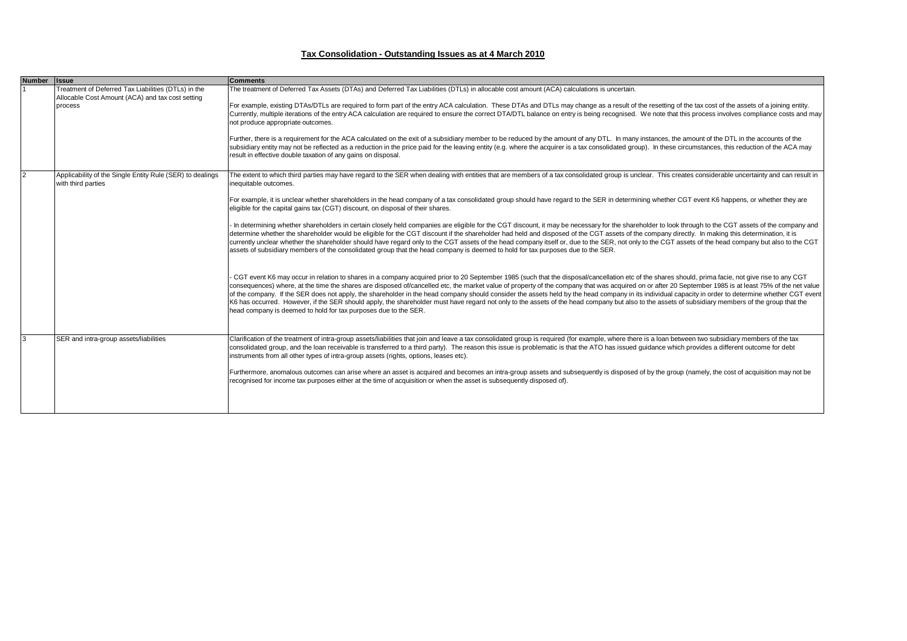## **Tax Consolidation - Outstanding Issues as at 4 March 2010**

| <b>Number</b> | <b>Ilssue</b>                                                                                           | <b>Comments</b>                                                                                                                                                                                                                                                                                                                                                                                                                                                                                                                                                                                                                                                                                                                                                                                                                                                                                |
|---------------|---------------------------------------------------------------------------------------------------------|------------------------------------------------------------------------------------------------------------------------------------------------------------------------------------------------------------------------------------------------------------------------------------------------------------------------------------------------------------------------------------------------------------------------------------------------------------------------------------------------------------------------------------------------------------------------------------------------------------------------------------------------------------------------------------------------------------------------------------------------------------------------------------------------------------------------------------------------------------------------------------------------|
|               | Treatment of Deferred Tax Liabilities (DTLs) in the<br>Allocable Cost Amount (ACA) and tax cost setting | The treatment of Deferred Tax Assets (DTAs) and Deferred Tax Liabilities (DTLs) in allocable cost amount (ACA) calculations is uncertain.                                                                                                                                                                                                                                                                                                                                                                                                                                                                                                                                                                                                                                                                                                                                                      |
|               | process                                                                                                 | For example, existing DTAs/DTLs are required to form part of the entry ACA calculation. These DTAs and DTLs may change as a result of the resetting of the tax cost of the assets of a joining entity.<br>Currently, multiple iterations of the entry ACA calculation are required to ensure the correct DTA/DTL balance on entry is being recognised. We note that this process involves compliance costs and may<br>not produce appropriate outcomes.                                                                                                                                                                                                                                                                                                                                                                                                                                        |
|               |                                                                                                         | Further, there is a requirement for the ACA calculated on the exit of a subsidiary member to be reduced by the amount of any DTL. In many instances, the amount of the DTL in the accounts of the<br>subsidiary entity may not be reflected as a reduction in the price paid for the leaving entity (e.g. where the acquirer is a tax consolidated group). In these circumstances, this reduction of the ACA may<br>result in effective double taxation of any gains on disposal.                                                                                                                                                                                                                                                                                                                                                                                                              |
|               | Applicability of the Single Entity Rule (SER) to dealings<br>with third parties                         | The extent to which third parties may have regard to the SER when dealing with entities that are members of a tax consolidated group is unclear. This creates considerable uncertainty and can result in<br>inequitable outcomes.                                                                                                                                                                                                                                                                                                                                                                                                                                                                                                                                                                                                                                                              |
|               |                                                                                                         | For example, it is unclear whether shareholders in the head company of a tax consolidated group should have regard to the SER in determining whether CGT event K6 happens, or whether they are<br>eligible for the capital gains tax (CGT) discount, on disposal of their shares.                                                                                                                                                                                                                                                                                                                                                                                                                                                                                                                                                                                                              |
|               |                                                                                                         | In determining whether shareholders in certain closely held companies are eligible for the CGT discount, it may be necessary for the shareholder to look through to the CGT assets of the company and<br>determine whether the shareholder would be eligible for the CGT discount if the shareholder had held and disposed of the CGT assets of the company directly. In making this determination, it is<br>currently unclear whether the shareholder should have regard only to the CGT assets of the head company itself or, due to the SER, not only to the CGT assets of the head company but also to the CGT<br>assets of subsidiary members of the consolidated group that the head company is deemed to hold for tax purposes due to the SER.                                                                                                                                          |
|               |                                                                                                         | CGT event K6 may occur in relation to shares in a company acquired prior to 20 September 1985 (such that the disposal/cancellation etc of the shares should, prima facie, not give rise to any CGT<br>consequences) where, at the time the shares are disposed of/cancelled etc, the market value of property of the company that was acquired on or after 20 September 1985 is at least 75% of the net value<br>of the company. If the SER does not apply, the shareholder in the head company should consider the assets held by the head company in its individual capacity in order to determine whether CGT event<br>K6 has occurred. However, if the SER should apply, the shareholder must have regard not only to the assets of the head company but also to the assets of subsidiary members of the group that the<br>head company is deemed to hold for tax purposes due to the SER. |
|               | SER and intra-group assets/liabilities                                                                  | Clarification of the treatment of intra-group assets/liabilities that join and leave a tax consolidated group is required (for example, where there is a loan between two subsidiary members of the tax<br>consolidated group, and the loan receivable is transferred to a third party). The reason this issue is problematic is that the ATO has issued guidance which provides a different outcome for debt<br>instruments from all other types of intra-group assets (rights, options, leases etc).                                                                                                                                                                                                                                                                                                                                                                                         |
|               |                                                                                                         | Furthermore, anomalous outcomes can arise where an asset is acquired and becomes an intra-group assets and subsequently is disposed of by the group (namely, the cost of acquisition may not be<br>recognised for income tax purposes either at the time of acquisition or when the asset is subsequently disposed of).                                                                                                                                                                                                                                                                                                                                                                                                                                                                                                                                                                        |
|               |                                                                                                         |                                                                                                                                                                                                                                                                                                                                                                                                                                                                                                                                                                                                                                                                                                                                                                                                                                                                                                |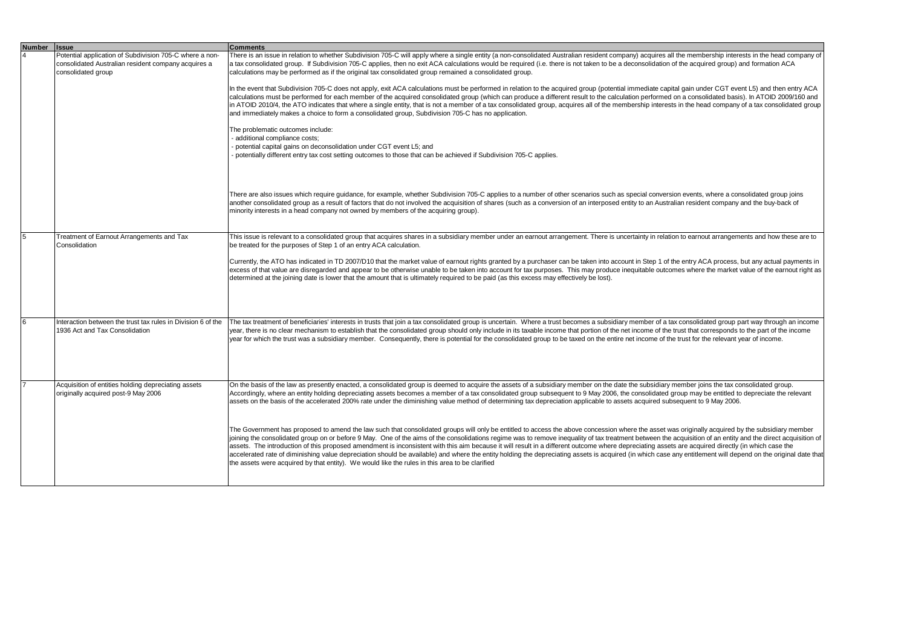| <b>Number</b> | <b>I</b> ssue                                                                                                  | <b>Comments</b>                                                                                                                                                                                                                                                                                                                                                                                                                                                                                                                                                                                                                                                                                                                                                                                                                                                                                                                           |
|---------------|----------------------------------------------------------------------------------------------------------------|-------------------------------------------------------------------------------------------------------------------------------------------------------------------------------------------------------------------------------------------------------------------------------------------------------------------------------------------------------------------------------------------------------------------------------------------------------------------------------------------------------------------------------------------------------------------------------------------------------------------------------------------------------------------------------------------------------------------------------------------------------------------------------------------------------------------------------------------------------------------------------------------------------------------------------------------|
|               | Potential application of Subdivision 705-C where a non-<br>consolidated Australian resident company acquires a | There is an issue in relation to whether Subdivision 705-C will apply where a single entity (a non-consolidated Australian resident company) acquires all the membership interests in the head company of<br>a tax consolidated group. If Subdivision 705-C applies, then no exit ACA calculations would be required (i.e. there is not taken to be a deconsolidation of the acquired group) and formation ACA                                                                                                                                                                                                                                                                                                                                                                                                                                                                                                                            |
|               | consolidated group                                                                                             | calculations may be performed as if the original tax consolidated group remained a consolidated group.                                                                                                                                                                                                                                                                                                                                                                                                                                                                                                                                                                                                                                                                                                                                                                                                                                    |
|               |                                                                                                                | In the event that Subdivision 705-C does not apply, exit ACA calculations must be performed in relation to the acquired group (potential immediate capital gain under CGT event L5) and then entry ACA<br>calculations must be performed for each member of the acquired consolidated group (which can produce a different result to the calculation performed on a consolidated basis). In ATOID 2009/160 and<br>in ATOID 2010/4, the ATO indicates that where a single entity, that is not a member of a tax consolidated group, acquires all of the membership interests in the head company of a tax consolidated group<br>and immediately makes a choice to form a consolidated group, Subdivision 705-C has no application.                                                                                                                                                                                                         |
|               |                                                                                                                | The problematic outcomes include:<br>- additional compliance costs;<br>- potential capital gains on deconsolidation under CGT event L5; and                                                                                                                                                                                                                                                                                                                                                                                                                                                                                                                                                                                                                                                                                                                                                                                               |
|               |                                                                                                                | potentially different entry tax cost setting outcomes to those that can be achieved if Subdivision 705-C applies.                                                                                                                                                                                                                                                                                                                                                                                                                                                                                                                                                                                                                                                                                                                                                                                                                         |
|               |                                                                                                                | There are also issues which require guidance, for example, whether Subdivision 705-C applies to a number of other scenarios such as special conversion events, where a consolidated group joins<br>another consolidated group as a result of factors that do not involved the acquisition of shares (such as a conversion of an interposed entity to an Australian resident company and the buy-back of<br>minority interests in a head company not owned by members of the acquiring group).                                                                                                                                                                                                                                                                                                                                                                                                                                             |
| 15            | Treatment of Earnout Arrangements and Tax<br>Consolidation                                                     | This issue is relevant to a consolidated group that acquires shares in a subsidiary member under an earnout arrangement. There is uncertainty in relation to earnout arrangements and how these are to<br>be treated for the purposes of Step 1 of an entry ACA calculation.                                                                                                                                                                                                                                                                                                                                                                                                                                                                                                                                                                                                                                                              |
|               |                                                                                                                | Currently, the ATO has indicated in TD 2007/D10 that the market value of earnout rights granted by a purchaser can be taken into account in Step 1 of the entry ACA process, but any actual payments in<br>excess of that value are disregarded and appear to be otherwise unable to be taken into account for tax purposes. This may produce inequitable outcomes where the market value of the earnout right as<br>determined at the joining date is lower that the amount that is ultimately required to be paid (as this excess may effectively be lost).                                                                                                                                                                                                                                                                                                                                                                             |
| 6             | Interaction between the trust tax rules in Division 6 of the                                                   |                                                                                                                                                                                                                                                                                                                                                                                                                                                                                                                                                                                                                                                                                                                                                                                                                                                                                                                                           |
|               | 1936 Act and Tax Consolidation                                                                                 | The tax treatment of beneficiaries' interests in trusts that join a tax consolidated group is uncertain. Where a trust becomes a subsidiary member of a tax consolidated group part way through an income<br>year, there is no clear mechanism to establish that the consolidated group should only include in its taxable income that portion of the net income of the trust that corresponds to the part of the income<br>year for which the trust was a subsidiary member. Consequently, there is potential for the consolidated group to be taxed on the entire net income of the trust for the relevant year of income.                                                                                                                                                                                                                                                                                                              |
|               | Acquisition of entities holding depreciating assets<br>originally acquired post-9 May 2006                     | On the basis of the law as presently enacted, a consolidated group is deemed to acquire the assets of a subsidiary member on the date the subsidiary member joins the tax consolidated group.<br>Accordingly, where an entity holding depreciating assets becomes a member of a tax consolidated group subsequent to 9 May 2006, the consolidated group may be entitled to depreciate the relevant<br>assets on the basis of the accelerated 200% rate under the diminishing value method of determining tax depreciation applicable to assets acquired subsequent to 9 May 2006.                                                                                                                                                                                                                                                                                                                                                         |
|               |                                                                                                                | The Government has proposed to amend the law such that consolidated groups will only be entitled to access the above concession where the asset was originally acquired by the subsidiary member<br>joining the consolidated group on or before 9 May. One of the aims of the consolidations regime was to remove inequality of tax treatment between the acquisition of an entity and the direct acquisition of<br>assets. The introduction of this proposed amendment is inconsistent with this aim because it will result in a different outcome where depreciating assets are acquired directly (in which case the<br>accelerated rate of diminishing value depreciation should be available) and where the entity holding the depreciating assets is acquired (in which case any entitlement will depend on the original date that<br>the assets were acquired by that entity). We would like the rules in this area to be clarified |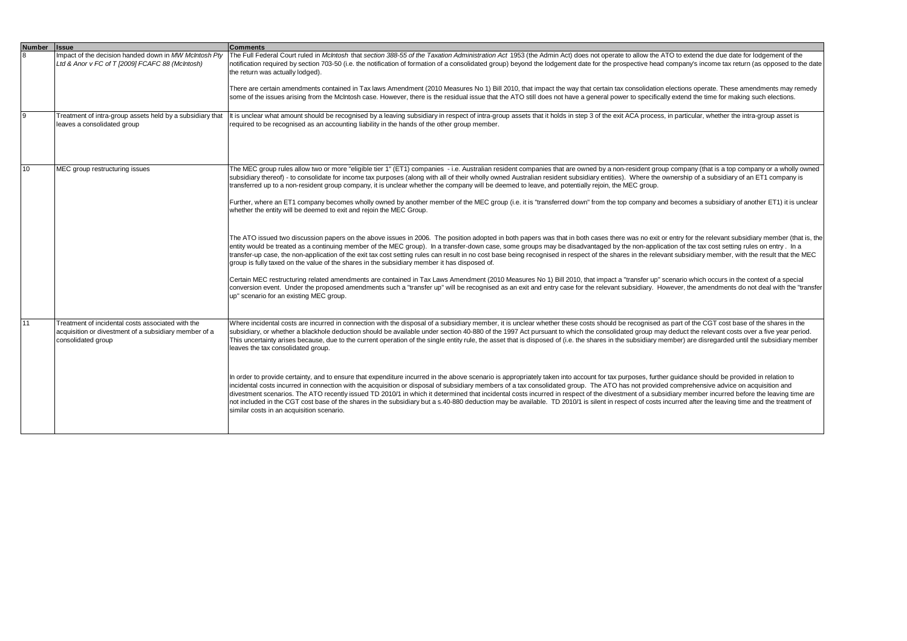| <b>Number</b> | <b>Issue</b>                                                                                                                     | <b>Comments</b>                                                                                                                                                                                                                                                                                                                                                                                                                                                                                                                                                                                                                                                                                                                                                                                                                                                           |
|---------------|----------------------------------------------------------------------------------------------------------------------------------|---------------------------------------------------------------------------------------------------------------------------------------------------------------------------------------------------------------------------------------------------------------------------------------------------------------------------------------------------------------------------------------------------------------------------------------------------------------------------------------------------------------------------------------------------------------------------------------------------------------------------------------------------------------------------------------------------------------------------------------------------------------------------------------------------------------------------------------------------------------------------|
| <sub>8</sub>  | Impact of the decision handed down in MW McIntosh Pty<br>Ltd & Anor v FC of T [2009] FCAFC 88 (McIntosh)                         | The Full Federal Court ruled in McIntosh that section 388-55 of the Taxation Administration Act 1953 (the Admin Act) does not operate to allow the ATO to extend the due date for lodgement of the<br>notification required by section 703-50 (i.e. the notification of formation of a consolidated group) beyond the lodgement date for the prospective head company's income tax return (as opposed to the date<br>the return was actually lodged).                                                                                                                                                                                                                                                                                                                                                                                                                     |
|               |                                                                                                                                  | There are certain amendments contained in Tax laws Amendment (2010 Measures No 1) Bill 2010, that impact the way that certain tax consolidation elections operate. These amendments may remedy<br>some of the issues arising from the McIntosh case. However, there is the residual issue that the ATO still does not have a general power to specifically extend the time for making such elections.                                                                                                                                                                                                                                                                                                                                                                                                                                                                     |
| 9             | Treatment of intra-group assets held by a subsidiary that<br>leaves a consolidated group                                         | It is unclear what amount should be recognised by a leaving subsidiary in respect of intra-group assets that it holds in step 3 of the exit ACA process, in particular, whether the intra-group asset is<br>required to be recognised as an accounting liability in the hands of the other group member.                                                                                                                                                                                                                                                                                                                                                                                                                                                                                                                                                                  |
| 10            | MEC group restructuring issues                                                                                                   | The MEC group rules allow two or more "eligible tier 1" (ET1) companies - i.e. Australian resident companies that are owned by a non-resident group company (that is a top company or a wholly owned<br>subsidiary thereof) - to consolidate for income tax purposes (along with all of their wholly owned Australian resident subsidiary entities). Where the ownership of a subsidiary of an ET1 company is<br>transferred up to a non-resident group company, it is unclear whether the company will be deemed to leave, and potentially rejoin, the MEC group.                                                                                                                                                                                                                                                                                                        |
|               |                                                                                                                                  | Further, where an ET1 company becomes wholly owned by another member of the MEC group (i.e. it is "transferred down" from the top company and becomes a subsidiary of another ET1) it is unclear<br>whether the entity will be deemed to exit and rejoin the MEC Group.                                                                                                                                                                                                                                                                                                                                                                                                                                                                                                                                                                                                   |
|               |                                                                                                                                  | The ATO issued two discussion papers on the above issues in 2006. The position adopted in both papers was that in both cases there was no exit or entry for the relevant subsidiary member (that is, the<br>entity would be treated as a continuing member of the MEC group). In a transfer-down case, some groups may be disadvantaged by the non-application of the tax cost setting rules on entry. In a<br>transfer-up case, the non-application of the exit tax cost setting rules can result in no cost base being recognised in respect of the shares in the relevant subsidiary member, with the result that the MEC<br>group is fully taxed on the value of the shares in the subsidiary member it has disposed of.                                                                                                                                              |
|               |                                                                                                                                  | Certain MEC restructuring related amendments are contained in Tax Laws Amendment (2010 Measures No 1) Bill 2010, that impact a "transfer up" scenario which occurs in the context of a special<br>conversion event. Under the proposed amendments such a "transfer up" will be recognised as an exit and entry case for the relevant subsidiary. However, the amendments do not deal with the "transfer<br>up" scenario for an existing MEC group.                                                                                                                                                                                                                                                                                                                                                                                                                        |
| 11            | Treatment of incidental costs associated with the<br>acquisition or divestment of a subsidiary member of a<br>consolidated group | Where incidental costs are incurred in connection with the disposal of a subsidiary member, it is unclear whether these costs should be recognised as part of the CGT cost base of the shares in the<br>subsidiary, or whether a blackhole deduction should be available under section 40-880 of the 1997 Act pursuant to which the consolidated group may deduct the relevant costs over a five year period.<br>This uncertainty arises because, due to the current operation of the single entity rule, the asset that is disposed of (i.e. the shares in the subsidiary member) are disregarded until the subsidiary member<br>leaves the tax consolidated group.                                                                                                                                                                                                      |
|               |                                                                                                                                  | In order to provide certainty, and to ensure that expenditure incurred in the above scenario is appropriately taken into account for tax purposes, further quidance should be provided in relation to<br>incidental costs incurred in connection with the acquisition or disposal of subsidiary members of a tax consolidated group. The ATO has not provided comprehensive advice on acquisition and<br>divestment scenarios. The ATO recently issued TD 2010/1 in which it determined that incidental costs incurred in respect of the divestment of a subsidiary member incurred before the leaving time are<br>not included in the CGT cost base of the shares in the subsidiary but a s.40-880 deduction may be available. TD 2010/1 is silent in respect of costs incurred after the leaving time and the treatment of<br>similar costs in an acquisition scenario. |